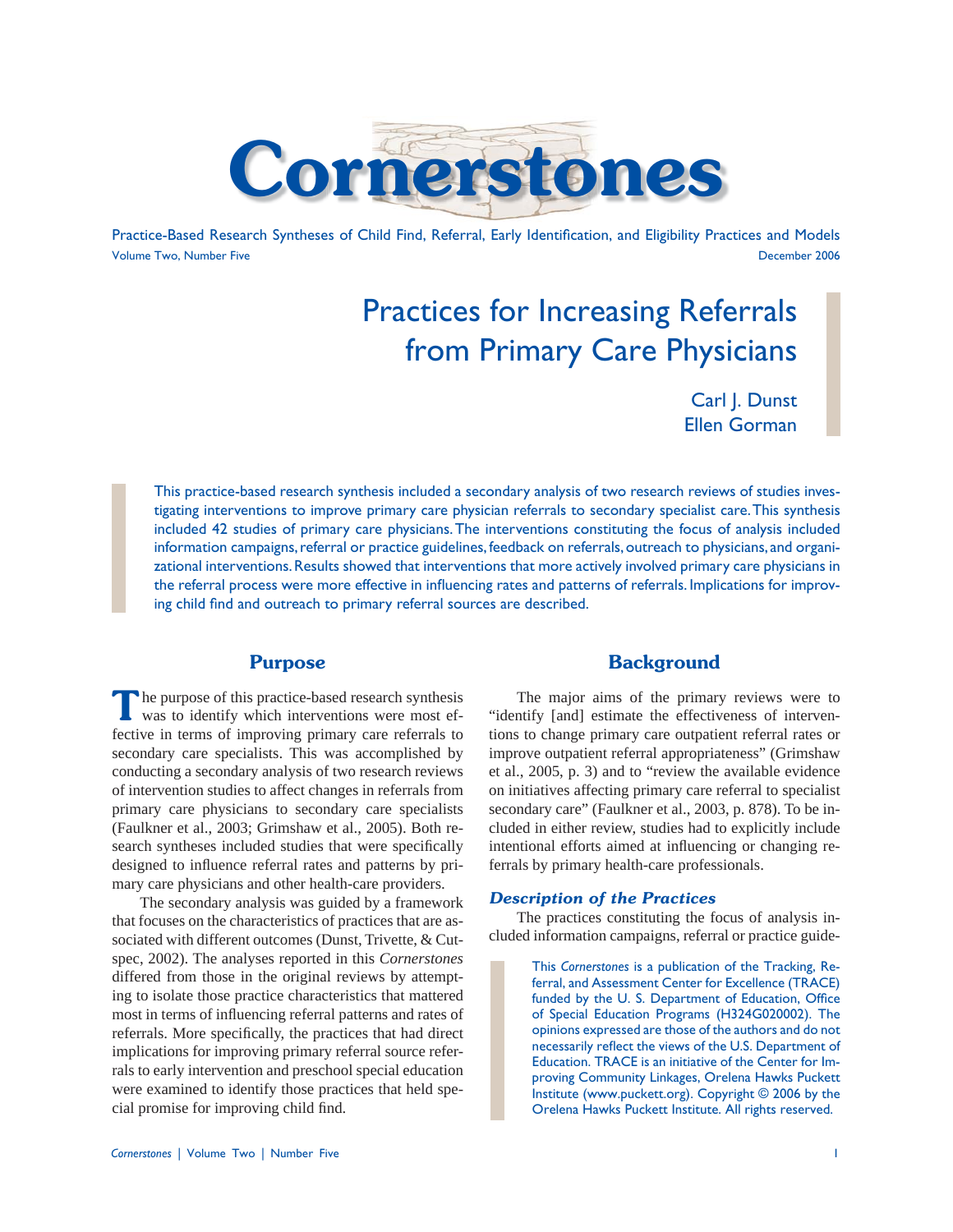

Practice-Based Research Syntheses of Child Find, Referral, Early Identification, and Eligibility Practices and Models Volume Two, Number Five December 2006

# Practices for Increasing Referrals from Primary Care Physicians

Carl J. Dunst Ellen Gorman

This practice-based research synthesis included a secondary analysis of two research reviews of studies investigating interventions to improve primary care physician referrals to secondary specialist care. This synthesis included 42 studies of primary care physicians. The interventions constituting the focus of analysis included information campaigns, referral or practice guidelines, feedback on referrals, outreach to physicians, and organizational interventions. Results showed that interventions that more actively involved primary care physicians in the referral process were more effective in influencing rates and patterns of referrals. Implications for improving child find and outreach to primary referral sources are described.

# **Purpose**

**T**he purpose of this practice-based research synthesis was to identify which interventions were most effective in terms of improving primary care referrals to secondary care specialists. This was accomplished by conducting a secondary analysis of two research reviews of intervention studies to affect changes in referrals from primary care physicians to secondary care specialists (Faulkner et al., 2003; Grimshaw et al., 2005). Both research syntheses included studies that were specifically designed to influence referral rates and patterns by primary care physicians and other health-care providers.

 The secondary analysis was guided by a framework that focuses on the characteristics of practices that are associated with different outcomes (Dunst, Trivette, & Cutspec, 2002). The analyses reported in this *Cornerstones* differed from those in the original reviews by attempting to isolate those practice characteristics that mattered most in terms of influencing referral patterns and rates of referrals. More specifically, the practices that had direct implications for improving primary referral source referrals to early intervention and preschool special education were examined to identify those practices that held special promise for improving child find.

## **Background**

 The major aims of the primary reviews were to "identify [and] estimate the effectiveness of interventions to change primary care outpatient referral rates or improve outpatient referral appropriateness" (Grimshaw et al., 2005, p. 3) and to "review the available evidence on initiatives affecting primary care referral to specialist secondary care" (Faulkner et al., 2003, p. 878). To be included in either review, studies had to explicitly include intentional efforts aimed at influencing or changing referrals by primary health-care professionals.

#### *Description of the Practices*

 The practices constituting the focus of analysis included information campaigns, referral or practice guide-

> This *Cornerstones* is a publication of the Tracking, Referral, and Assessment Center for Excellence (TRACE) funded by the U. S. Department of Education, Office of Special Education Programs (H324G020002). The opinions expressed are those of the authors and do not necessarily reflect the views of the U.S. Department of Education. TRACE is an initiative of the Center for Improving Community Linkages, Orelena Hawks Puckett Institute (www.puckett.org). Copyright © 2006 by the Orelena Hawks Puckett Institute. All rights reserved.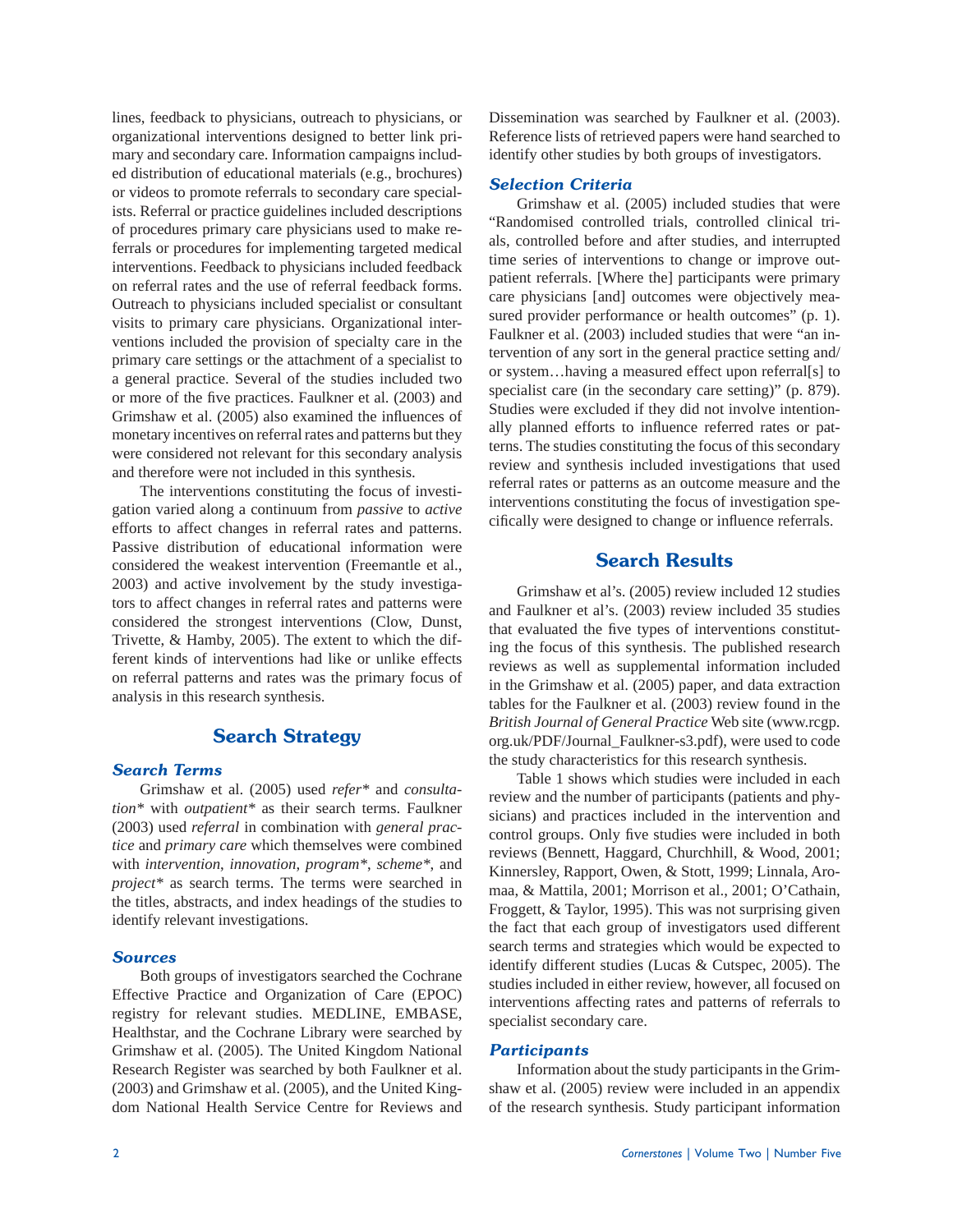lines, feedback to physicians, outreach to physicians, or organizational interventions designed to better link primary and secondary care. Information campaigns included distribution of educational materials (e.g., brochures) or videos to promote referrals to secondary care specialists. Referral or practice guidelines included descriptions of procedures primary care physicians used to make referrals or procedures for implementing targeted medical interventions. Feedback to physicians included feedback on referral rates and the use of referral feedback forms. Outreach to physicians included specialist or consultant visits to primary care physicians. Organizational interventions included the provision of specialty care in the primary care settings or the attachment of a specialist to a general practice. Several of the studies included two or more of the five practices. Faulkner et al. (2003) and Grimshaw et al. (2005) also examined the influences of monetary incentives on referral rates and patterns but they were considered not relevant for this secondary analysis and therefore were not included in this synthesis.

 The interventions constituting the focus of investigation varied along a continuum from *passive* to *active* efforts to affect changes in referral rates and patterns. Passive distribution of educational information were considered the weakest intervention (Freemantle et al., 2003) and active involvement by the study investigators to affect changes in referral rates and patterns were considered the strongest interventions (Clow, Dunst, Trivette, & Hamby, 2005). The extent to which the different kinds of interventions had like or unlike effects on referral patterns and rates was the primary focus of analysis in this research synthesis.

# **Search Strategy**

### *Search Terms*

 Grimshaw et al. (2005) used *refer\** and *consultation\** with *outpatient\** as their search terms. Faulkner (2003) used *referral* in combination with *general practice* and *primary care* which themselves were combined with *intervention*, *innovation*, *program\**, *scheme\**, and *project\** as search terms. The terms were searched in the titles, abstracts, and index headings of the studies to identify relevant investigations.

## *Sources*

 Both groups of investigators searched the Cochrane Effective Practice and Organization of Care (EPOC) registry for relevant studies. MEDLINE, EMBASE, Healthstar, and the Cochrane Library were searched by Grimshaw et al. (2005). The United Kingdom National Research Register was searched by both Faulkner et al. (2003) and Grimshaw et al. (2005), and the United Kingdom National Health Service Centre for Reviews and Dissemination was searched by Faulkner et al. (2003). Reference lists of retrieved papers were hand searched to identify other studies by both groups of investigators.

#### *Selection Criteria*

 Grimshaw et al. (2005) included studies that were "Randomised controlled trials, controlled clinical trials, controlled before and after studies, and interrupted time series of interventions to change or improve outpatient referrals. [Where the] participants were primary care physicians [and] outcomes were objectively measured provider performance or health outcomes" (p. 1). Faulkner et al. (2003) included studies that were "an intervention of any sort in the general practice setting and/ or system…having a measured effect upon referral[s] to specialist care (in the secondary care setting)" (p. 879). Studies were excluded if they did not involve intentionally planned efforts to influence referred rates or patterns. The studies constituting the focus of this secondary review and synthesis included investigations that used referral rates or patterns as an outcome measure and the interventions constituting the focus of investigation specifically were designed to change or influence referrals.

## **Search Results**

 Grimshaw et al's. (2005) review included 12 studies and Faulkner et al's. (2003) review included 35 studies that evaluated the five types of interventions constituting the focus of this synthesis. The published research reviews as well as supplemental information included in the Grimshaw et al. (2005) paper, and data extraction tables for the Faulkner et al. (2003) review found in the *British Journal of General Practice* Web site (www.rcgp. org.uk/PDF/Journal\_Faulkner-s3.pdf), were used to code the study characteristics for this research synthesis.

 Table 1 shows which studies were included in each review and the number of participants (patients and physicians) and practices included in the intervention and control groups. Only five studies were included in both reviews (Bennett, Haggard, Churchhill, & Wood, 2001; Kinnersley, Rapport, Owen, & Stott, 1999; Linnala, Aromaa, & Mattila, 2001; Morrison et al., 2001; O'Cathain, Froggett, & Taylor, 1995). This was not surprising given the fact that each group of investigators used different search terms and strategies which would be expected to identify different studies (Lucas & Cutspec, 2005). The studies included in either review, however, all focused on interventions affecting rates and patterns of referrals to specialist secondary care.

#### *Participants*

 Information about the study participants in the Grimshaw et al. (2005) review were included in an appendix of the research synthesis. Study participant information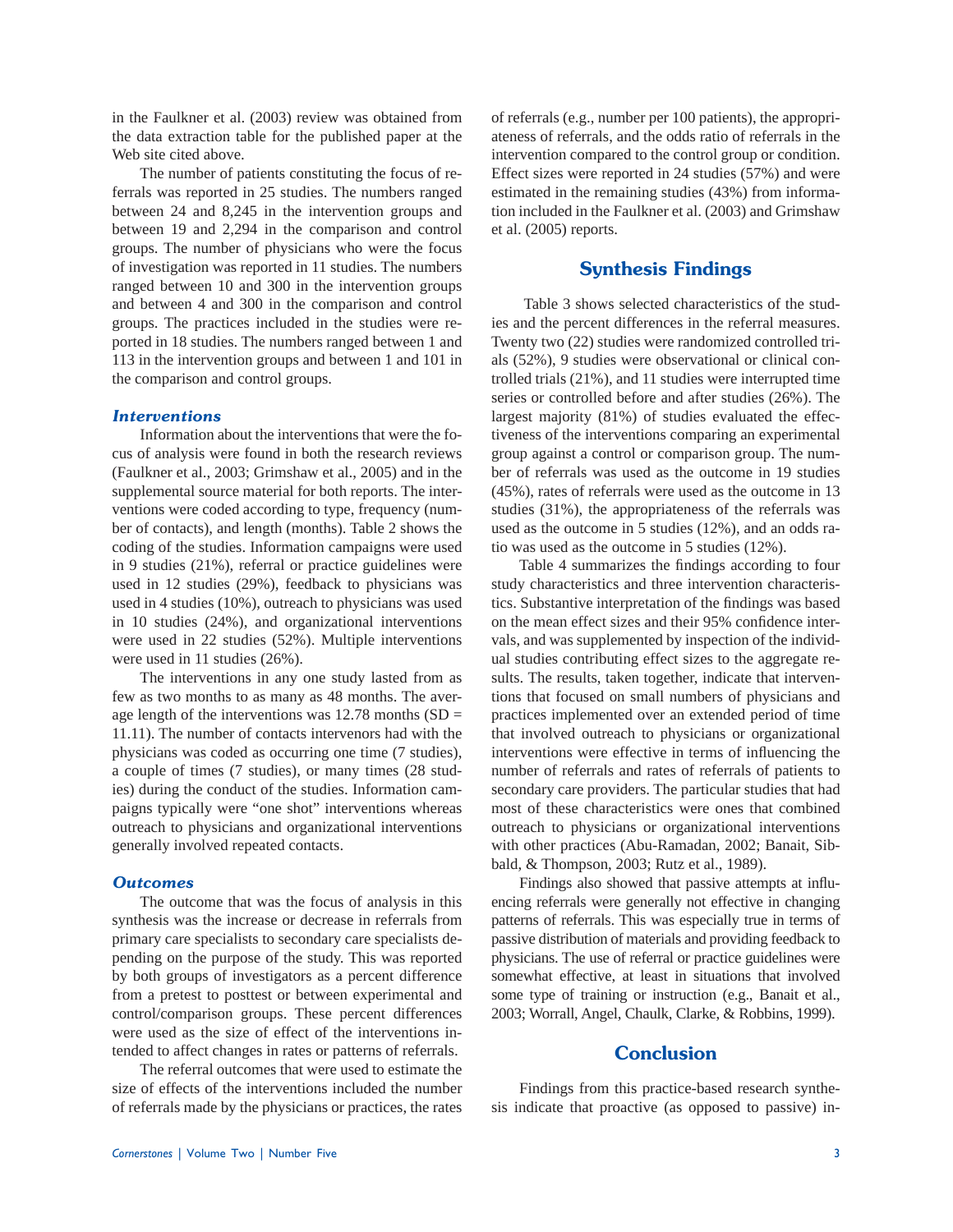in the Faulkner et al. (2003) review was obtained from the data extraction table for the published paper at the Web site cited above.

 The number of patients constituting the focus of referrals was reported in 25 studies. The numbers ranged between 24 and 8,245 in the intervention groups and between 19 and 2,294 in the comparison and control groups. The number of physicians who were the focus of investigation was reported in 11 studies. The numbers ranged between 10 and 300 in the intervention groups and between 4 and 300 in the comparison and control groups. The practices included in the studies were reported in 18 studies. The numbers ranged between 1 and 113 in the intervention groups and between 1 and 101 in the comparison and control groups.

#### *Interventions*

 Information about the interventions that were the focus of analysis were found in both the research reviews (Faulkner et al., 2003; Grimshaw et al., 2005) and in the supplemental source material for both reports. The interventions were coded according to type, frequency (number of contacts), and length (months). Table 2 shows the coding of the studies. Information campaigns were used in 9 studies (21%), referral or practice guidelines were used in 12 studies (29%), feedback to physicians was used in 4 studies (10%), outreach to physicians was used in 10 studies (24%), and organizational interventions were used in 22 studies (52%). Multiple interventions were used in 11 studies (26%).

 The interventions in any one study lasted from as few as two months to as many as 48 months. The average length of the interventions was  $12.78$  months (SD = 11.11). The number of contacts intervenors had with the physicians was coded as occurring one time (7 studies), a couple of times (7 studies), or many times (28 studies) during the conduct of the studies. Information campaigns typically were "one shot" interventions whereas outreach to physicians and organizational interventions generally involved repeated contacts.

#### *Outcomes*

 The outcome that was the focus of analysis in this synthesis was the increase or decrease in referrals from primary care specialists to secondary care specialists depending on the purpose of the study. This was reported by both groups of investigators as a percent difference from a pretest to posttest or between experimental and control/comparison groups. These percent differences were used as the size of effect of the interventions intended to affect changes in rates or patterns of referrals.

 The referral outcomes that were used to estimate the size of effects of the interventions included the number of referrals made by the physicians or practices, the rates of referrals (e.g., number per 100 patients), the appropriateness of referrals, and the odds ratio of referrals in the intervention compared to the control group or condition. Effect sizes were reported in 24 studies (57%) and were estimated in the remaining studies (43%) from information included in the Faulkner et al. (2003) and Grimshaw et al. (2005) reports.

## **Synthesis Findings**

 Table 3 shows selected characteristics of the studies and the percent differences in the referral measures. Twenty two (22) studies were randomized controlled trials (52%), 9 studies were observational or clinical controlled trials (21%), and 11 studies were interrupted time series or controlled before and after studies (26%). The largest majority (81%) of studies evaluated the effectiveness of the interventions comparing an experimental group against a control or comparison group. The number of referrals was used as the outcome in 19 studies (45%), rates of referrals were used as the outcome in 13 studies (31%), the appropriateness of the referrals was used as the outcome in 5 studies (12%), and an odds ratio was used as the outcome in 5 studies (12%).

Table 4 summarizes the findings according to four study characteristics and three intervention characteristics. Substantive interpretation of the findings was based on the mean effect sizes and their 95% confidence intervals, and was supplemented by inspection of the individual studies contributing effect sizes to the aggregate results. The results, taken together, indicate that interventions that focused on small numbers of physicians and practices implemented over an extended period of time that involved outreach to physicians or organizational interventions were effective in terms of influencing the number of referrals and rates of referrals of patients to secondary care providers. The particular studies that had most of these characteristics were ones that combined outreach to physicians or organizational interventions with other practices (Abu-Ramadan, 2002; Banait, Sibbald, & Thompson, 2003; Rutz et al., 1989).

Findings also showed that passive attempts at influencing referrals were generally not effective in changing patterns of referrals. This was especially true in terms of passive distribution of materials and providing feedback to physicians. The use of referral or practice guidelines were somewhat effective, at least in situations that involved some type of training or instruction (e.g., Banait et al., 2003; Worrall, Angel, Chaulk, Clarke, & Robbins, 1999).

# **Conclusion**

 Findings from this practice-based research synthesis indicate that proactive (as opposed to passive) in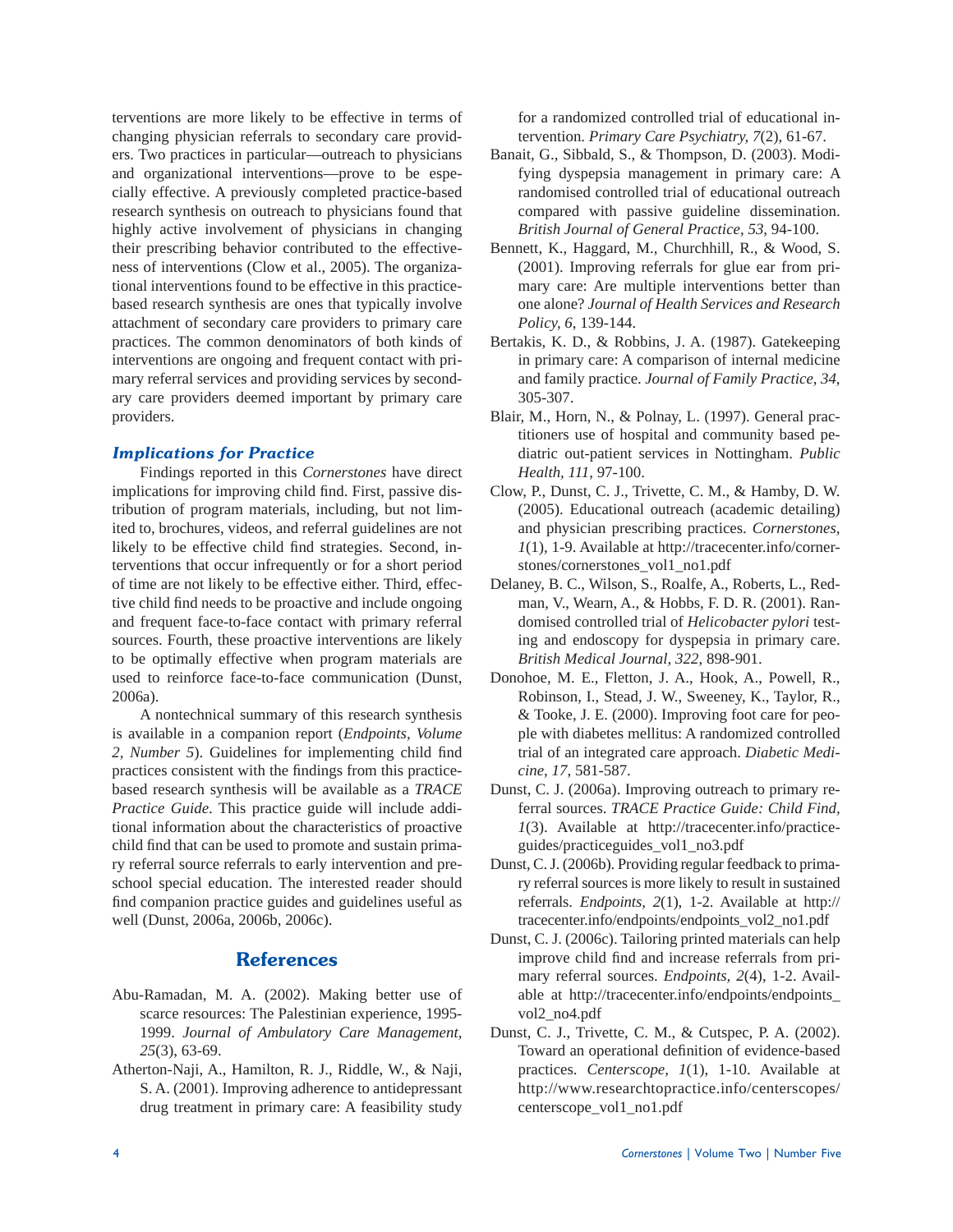terventions are more likely to be effective in terms of changing physician referrals to secondary care providers. Two practices in particular—outreach to physicians and organizational interventions—prove to be especially effective. A previously completed practice-based research synthesis on outreach to physicians found that highly active involvement of physicians in changing their prescribing behavior contributed to the effectiveness of interventions (Clow et al., 2005). The organizational interventions found to be effective in this practicebased research synthesis are ones that typically involve attachment of secondary care providers to primary care practices. The common denominators of both kinds of interventions are ongoing and frequent contact with primary referral services and providing services by secondary care providers deemed important by primary care providers.

## *Implications for Practice*

 Findings reported in this *Cornerstones* have direct implications for improving child find. First, passive distribution of program materials, including, but not limited to, brochures, videos, and referral guidelines are not likely to be effective child find strategies. Second, interventions that occur infrequently or for a short period of time are not likely to be effective either. Third, effective child find needs to be proactive and include ongoing and frequent face-to-face contact with primary referral sources. Fourth, these proactive interventions are likely to be optimally effective when program materials are used to reinforce face-to-face communication (Dunst, 2006a).

 A nontechnical summary of this research synthesis is available in a companion report (*Endpoints, Volume*  2, Number 5). Guidelines for implementing child find practices consistent with the findings from this practicebased research synthesis will be available as a *TRACE Practice Guide*. This practice guide will include additional information about the characteristics of proactive child find that can be used to promote and sustain primary referral source referrals to early intervention and preschool special education. The interested reader should find companion practice guides and guidelines useful as well (Dunst, 2006a, 2006b, 2006c).

# **References**

- Abu-Ramadan, M. A. (2002). Making better use of scarce resources: The Palestinian experience, 1995- 1999. *Journal of Ambulatory Care Management, 25*(3), 63-69.
- Atherton-Naji, A., Hamilton, R. J., Riddle, W., & Naji, S. A. (2001). Improving adherence to antidepressant drug treatment in primary care: A feasibility study

for a randomized controlled trial of educational intervention. *Primary Care Psychiatry, 7*(2), 61-67.

- Banait, G., Sibbald, S., & Thompson, D. (2003). Modifying dyspepsia management in primary care: A randomised controlled trial of educational outreach compared with passive guideline dissemination. *British Journal of General Practice, 53*, 94-100.
- Bennett, K., Haggard, M., Churchhill, R., & Wood, S. (2001). Improving referrals for glue ear from primary care: Are multiple interventions better than one alone? *Journal of Health Services and Research Policy, 6*, 139-144.
- Bertakis, K. D., & Robbins, J. A. (1987). Gatekeeping in primary care: A comparison of internal medicine and family practice. *Journal of Family Practice, 34*, 305-307.
- Blair, M., Horn, N., & Polnay, L. (1997). General practitioners use of hospital and community based pediatric out-patient services in Nottingham. *Public Health, 111*, 97-100.
- Clow, P., Dunst, C. J., Trivette, C. M., & Hamby, D. W. (2005). Educational outreach (academic detailing) and physician prescribing practices. *Cornerstones, 1*(1), 1-9. Available at http://tracecenter.info/cornerstones/cornerstones\_vol1\_no1.pdf
- Delaney, B. C., Wilson, S., Roalfe, A., Roberts, L., Redman, V., Wearn, A., & Hobbs, F. D. R. (2001). Randomised controlled trial of *Helicobacter pylori* testing and endoscopy for dyspepsia in primary care. *British Medical Journal, 322*, 898-901.
- Donohoe, M. E., Fletton, J. A., Hook, A., Powell, R., Robinson, I., Stead, J. W., Sweeney, K., Taylor, R., & Tooke, J. E. (2000). Improving foot care for people with diabetes mellitus: A randomized controlled trial of an integrated care approach. *Diabetic Medicine, 17*, 581-587.
- Dunst, C. J. (2006a). Improving outreach to primary referral sources. *TRACE Practice Guide: Child Find, 1*(3). Available at http://tracecenter.info/practiceguides/practiceguides\_vol1\_no3.pdf
- Dunst, C. J. (2006b). Providing regular feedback to primary referral sources is more likely to result in sustained referrals. *Endpoints, 2*(1), 1-2. Available at http:// tracecenter.info/endpoints/endpoints\_vol2\_no1.pdf
- Dunst, C. J. (2006c). Tailoring printed materials can help improve child find and increase referrals from primary referral sources. *Endpoints, 2*(4), 1-2. Available at http://tracecenter.info/endpoints/endpoints\_ vol2\_no4.pdf
- Dunst, C. J., Trivette, C. M., & Cutspec, P. A. (2002). Toward an operational definition of evidence-based practices. *Centerscope, 1*(1), 1-10. Available at http://www.researchtopractice.info/centerscopes/ centerscope\_vol1\_no1.pdf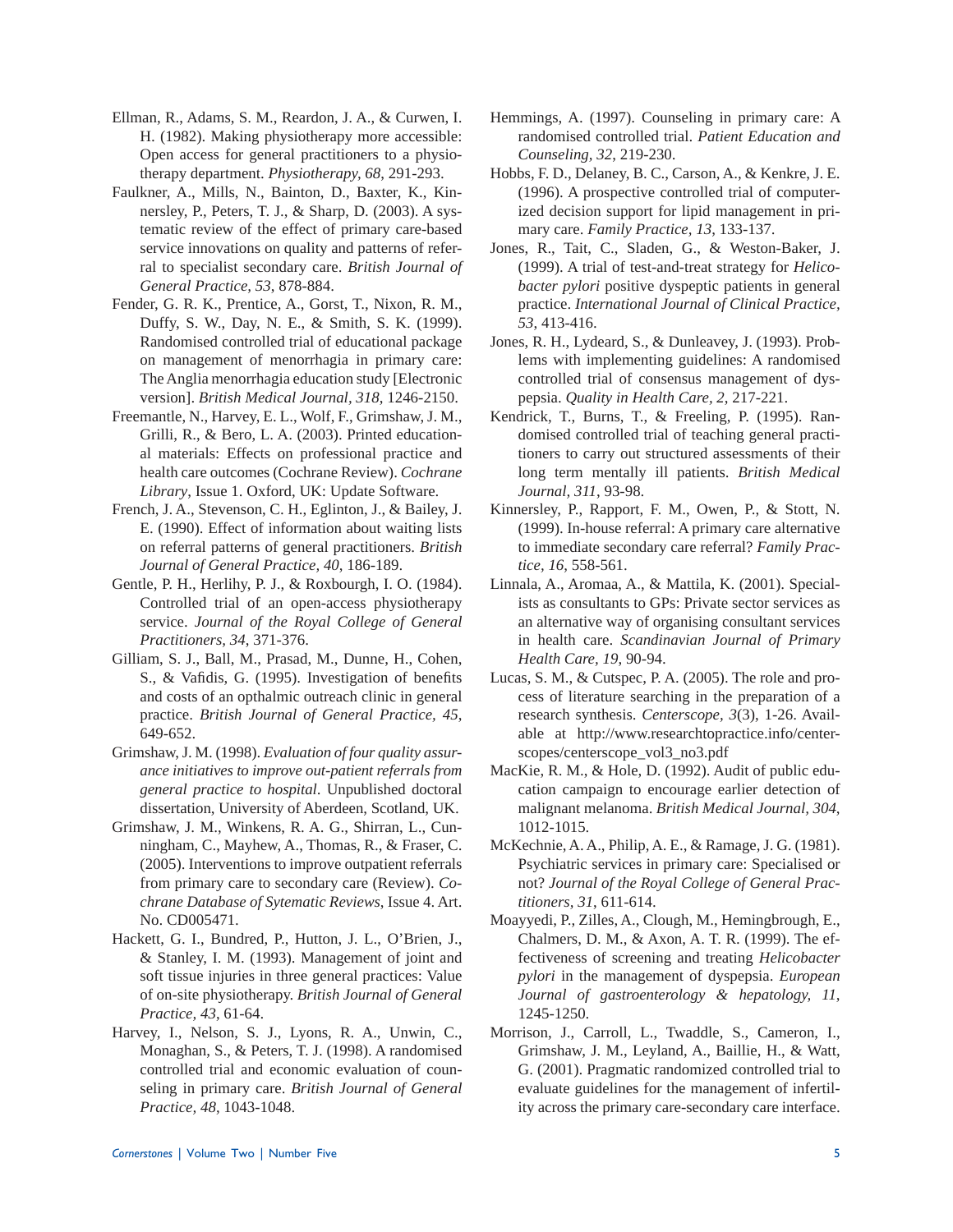- Ellman, R., Adams, S. M., Reardon, J. A., & Curwen, I. H. (1982). Making physiotherapy more accessible: Open access for general practitioners to a physiotherapy department. *Physiotherapy, 68*, 291-293.
- Faulkner, A., Mills, N., Bainton, D., Baxter, K., Kinnersley, P., Peters, T. J., & Sharp, D. (2003). A systematic review of the effect of primary care-based service innovations on quality and patterns of referral to specialist secondary care. *British Journal of General Practice, 53*, 878-884.
- Fender, G. R. K., Prentice, A., Gorst, T., Nixon, R. M., Duffy, S. W., Day, N. E., & Smith, S. K. (1999). Randomised controlled trial of educational package on management of menorrhagia in primary care: The Anglia menorrhagia education study [Electronic version]. *British Medical Journal, 318*, 1246-2150.
- Freemantle, N., Harvey, E. L., Wolf, F., Grimshaw, J. M., Grilli, R., & Bero, L. A. (2003). Printed educational materials: Effects on professional practice and health care outcomes (Cochrane Review). *Cochrane Library*, Issue 1. Oxford, UK: Update Software.
- French, J. A., Stevenson, C. H., Eglinton, J., & Bailey, J. E. (1990). Effect of information about waiting lists on referral patterns of general practitioners. *British Journal of General Practice, 40*, 186-189.
- Gentle, P. H., Herlihy, P. J., & Roxbourgh, I. O. (1984). Controlled trial of an open-access physiotherapy service. *Journal of the Royal College of General Practitioners, 34*, 371-376.
- Gilliam, S. J., Ball, M., Prasad, M., Dunne, H., Cohen, S., & Vafidis, G. (1995). Investigation of benefits and costs of an opthalmic outreach clinic in general practice. *British Journal of General Practice, 45*, 649-652.
- Grimshaw, J. M. (1998). *Evaluation of four quality assurance initiatives to improve out-patient referrals from general practice to hospital*. Unpublished doctoral dissertation, University of Aberdeen, Scotland, UK.
- Grimshaw, J. M., Winkens, R. A. G., Shirran, L., Cunningham, C., Mayhew, A., Thomas, R., & Fraser, C. (2005). Interventions to improve outpatient referrals from primary care to secondary care (Review). *Cochrane Database of Sytematic Reviews*, Issue 4. Art. No. CD005471.
- Hackett, G. I., Bundred, P., Hutton, J. L., O'Brien, J., & Stanley, I. M. (1993). Management of joint and soft tissue injuries in three general practices: Value of on-site physiotherapy. *British Journal of General Practice, 43*, 61-64.
- Harvey, I., Nelson, S. J., Lyons, R. A., Unwin, C., Monaghan, S., & Peters, T. J. (1998). A randomised controlled trial and economic evaluation of counseling in primary care. *British Journal of General Practice, 48*, 1043-1048.
- Hemmings, A. (1997). Counseling in primary care: A randomised controlled trial. *Patient Education and Counseling, 32*, 219-230.
- Hobbs, F. D., Delaney, B. C., Carson, A., & Kenkre, J. E. (1996). A prospective controlled trial of computerized decision support for lipid management in primary care. *Family Practice, 13*, 133-137.
- Jones, R., Tait, C., Sladen, G., & Weston-Baker, J. (1999). A trial of test-and-treat strategy for *Helicobacter pylori* positive dyspeptic patients in general practice. *International Journal of Clinical Practice, 53*, 413-416.
- Jones, R. H., Lydeard, S., & Dunleavey, J. (1993). Problems with implementing guidelines: A randomised controlled trial of consensus management of dyspepsia. *Quality in Health Care, 2*, 217-221.
- Kendrick, T., Burns, T., & Freeling, P. (1995). Randomised controlled trial of teaching general practitioners to carry out structured assessments of their long term mentally ill patients. *British Medical Journal, 311*, 93-98.
- Kinnersley, P., Rapport, F. M., Owen, P., & Stott, N. (1999). In-house referral: A primary care alternative to immediate secondary care referral? *Family Practice, 16*, 558-561.
- Linnala, A., Aromaa, A., & Mattila, K. (2001). Specialists as consultants to GPs: Private sector services as an alternative way of organising consultant services in health care. *Scandinavian Journal of Primary Health Care, 19*, 90-94.
- Lucas, S. M., & Cutspec, P. A. (2005). The role and process of literature searching in the preparation of a research synthesis. *Centerscope, 3*(3), 1-26. Available at http://www.researchtopractice.info/centerscopes/centerscope\_vol3\_no3.pdf
- MacKie, R. M., & Hole, D. (1992). Audit of public education campaign to encourage earlier detection of malignant melanoma. *British Medical Journal, 304*, 1012-1015.
- McKechnie, A. A., Philip, A. E., & Ramage, J. G. (1981). Psychiatric services in primary care: Specialised or not? *Journal of the Royal College of General Practitioners, 31*, 611-614.
- Moayyedi, P., Zilles, A., Clough, M., Hemingbrough, E., Chalmers, D. M., & Axon, A. T. R. (1999). The effectiveness of screening and treating *Helicobacter pylori* in the management of dyspepsia. *European Journal of gastroenterology & hepatology, 11*, 1245-1250.
- Morrison, J., Carroll, L., Twaddle, S., Cameron, I., Grimshaw, J. M., Leyland, A., Baillie, H., & Watt, G. (2001). Pragmatic randomized controlled trial to evaluate guidelines for the management of infertility across the primary care-secondary care interface.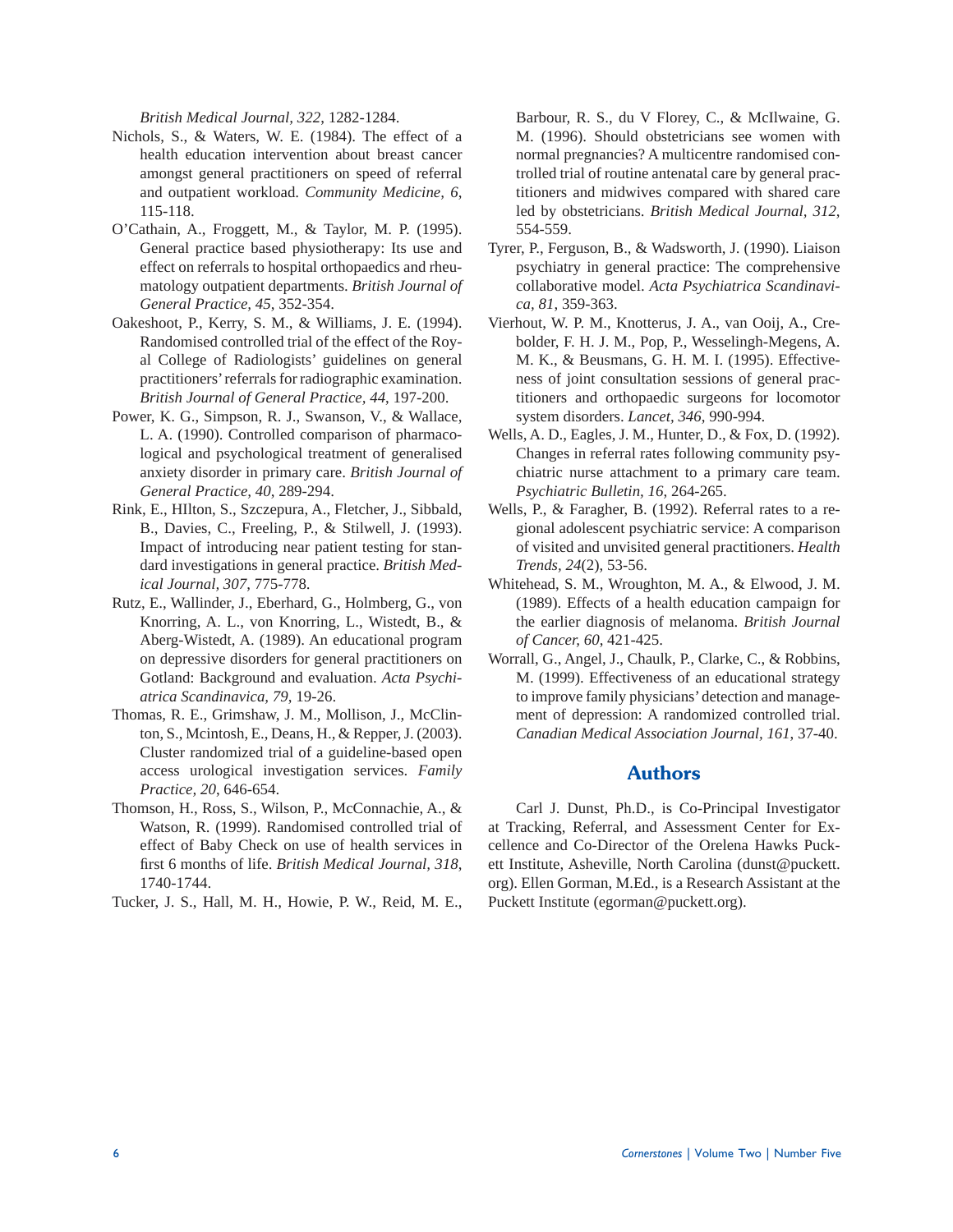*British Medical Journal, 322*, 1282-1284.

- Nichols, S., & Waters, W. E. (1984). The effect of a health education intervention about breast cancer amongst general practitioners on speed of referral and outpatient workload. *Community Medicine, 6*, 115-118.
- O'Cathain, A., Froggett, M., & Taylor, M. P. (1995). General practice based physiotherapy: Its use and effect on referrals to hospital orthopaedics and rheumatology outpatient departments. *British Journal of General Practice, 45*, 352-354.
- Oakeshoot, P., Kerry, S. M., & Williams, J. E. (1994). Randomised controlled trial of the effect of the Royal College of Radiologists' guidelines on general practitioners' referrals for radiographic examination. *British Journal of General Practice, 44*, 197-200.
- Power, K. G., Simpson, R. J., Swanson, V., & Wallace, L. A. (1990). Controlled comparison of pharmacological and psychological treatment of generalised anxiety disorder in primary care. *British Journal of General Practice, 40*, 289-294.
- Rink, E., HIlton, S., Szczepura, A., Fletcher, J., Sibbald, B., Davies, C., Freeling, P., & Stilwell, J. (1993). Impact of introducing near patient testing for standard investigations in general practice. *British Medical Journal, 307*, 775-778.
- Rutz, E., Wallinder, J., Eberhard, G., Holmberg, G., von Knorring, A. L., von Knorring, L., Wistedt, B., & Aberg-Wistedt, A. (1989). An educational program on depressive disorders for general practitioners on Gotland: Background and evaluation. *Acta Psychiatrica Scandinavica, 79*, 19-26.
- Thomas, R. E., Grimshaw, J. M., Mollison, J., McClinton, S., Mcintosh, E., Deans, H., & Repper, J. (2003). Cluster randomized trial of a guideline-based open access urological investigation services. *Family Practice, 20*, 646-654.
- Thomson, H., Ross, S., Wilson, P., McConnachie, A., & Watson, R. (1999). Randomised controlled trial of effect of Baby Check on use of health services in first 6 months of life. *British Medical Journal*, 318, 1740-1744.
- Tucker, J. S., Hall, M. H., Howie, P. W., Reid, M. E.,

Barbour, R. S., du V Florey, C., & McIlwaine, G. M. (1996). Should obstetricians see women with normal pregnancies? A multicentre randomised controlled trial of routine antenatal care by general practitioners and midwives compared with shared care led by obstetricians. *British Medical Journal, 312*, 554-559.

- Tyrer, P., Ferguson, B., & Wadsworth, J. (1990). Liaison psychiatry in general practice: The comprehensive collaborative model. *Acta Psychiatrica Scandinavica, 81*, 359-363.
- Vierhout, W. P. M., Knotterus, J. A., van Ooij, A., Crebolder, F. H. J. M., Pop, P., Wesselingh-Megens, A. M. K., & Beusmans, G. H. M. I. (1995). Effectiveness of joint consultation sessions of general practitioners and orthopaedic surgeons for locomotor system disorders. *Lancet, 346*, 990-994.
- Wells, A. D., Eagles, J. M., Hunter, D., & Fox, D. (1992). Changes in referral rates following community psychiatric nurse attachment to a primary care team. *Psychiatric Bulletin, 16*, 264-265.
- Wells, P., & Faragher, B. (1992). Referral rates to a regional adolescent psychiatric service: A comparison of visited and unvisited general practitioners. *Health Trends, 24*(2), 53-56.
- Whitehead, S. M., Wroughton, M. A., & Elwood, J. M. (1989). Effects of a health education campaign for the earlier diagnosis of melanoma. *British Journal of Cancer, 60*, 421-425.
- Worrall, G., Angel, J., Chaulk, P., Clarke, C., & Robbins, M. (1999). Effectiveness of an educational strategy to improve family physicians' detection and management of depression: A randomized controlled trial. *Canadian Medical Association Journal, 161*, 37-40.

# **Authors**

 Carl J. Dunst, Ph.D., is Co-Principal Investigator at Tracking, Referral, and Assessment Center for Excellence and Co-Director of the Orelena Hawks Puckett Institute, Asheville, North Carolina (dunst@puckett. org). Ellen Gorman, M.Ed., is a Research Assistant at the Puckett Institute (egorman@puckett.org).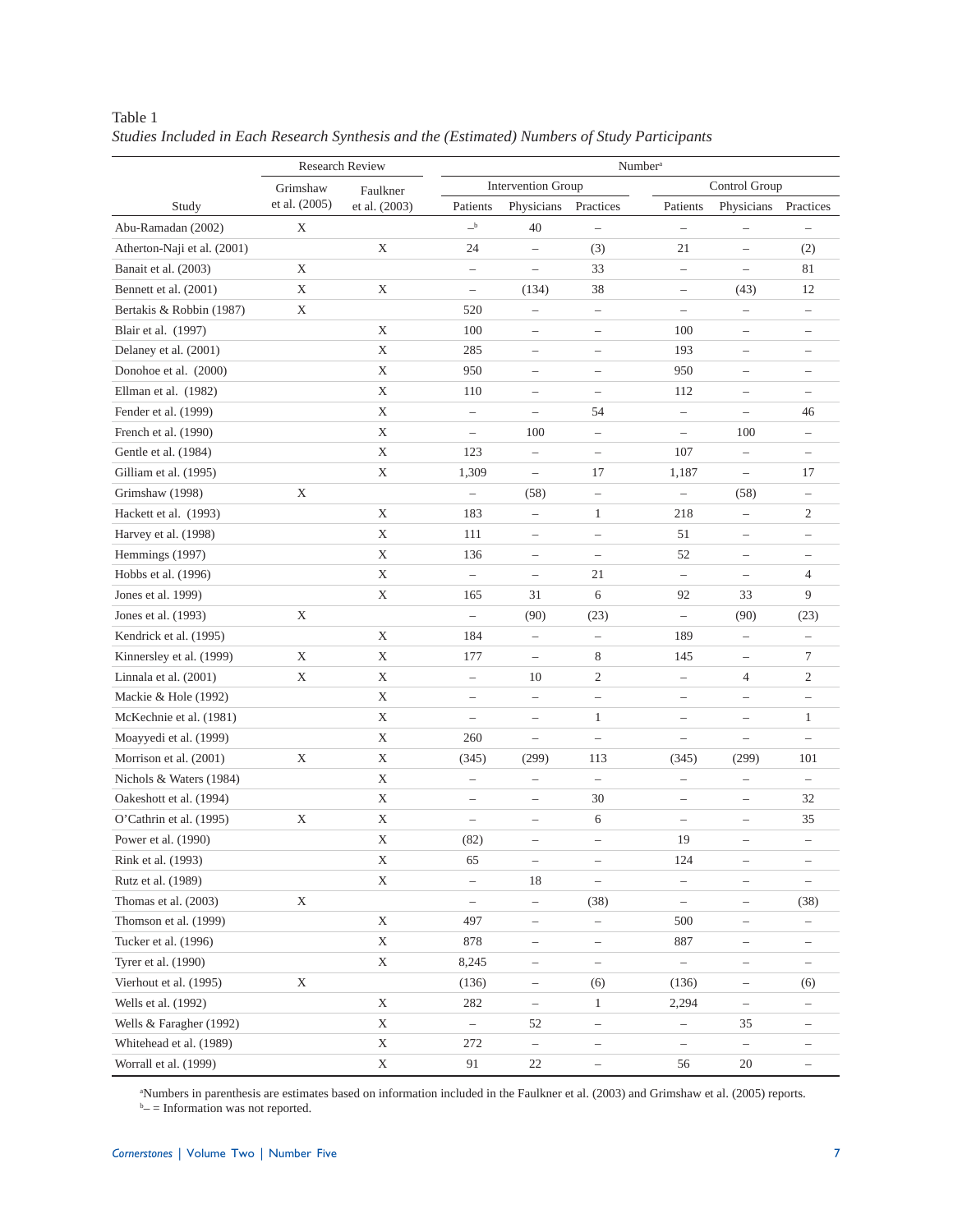|                             | <b>Research Review</b> |               | Number <sup>a</sup>      |                           |                          |                          |                          |                          |  |
|-----------------------------|------------------------|---------------|--------------------------|---------------------------|--------------------------|--------------------------|--------------------------|--------------------------|--|
|                             | Grimshaw               | Faulkner      |                          | <b>Intervention Group</b> |                          |                          | Control Group            |                          |  |
| Study                       | et al. (2005)          | et al. (2003) | Patients                 | Physicians                | Practices                | Patients                 | Physicians               | Practices                |  |
| Abu-Ramadan (2002)          | X                      |               | $\mathbf{-}^{\rm b}$     | 40                        | $\overline{\phantom{0}}$ | $\qquad \qquad -$        | $\overline{\phantom{0}}$ | $\qquad \qquad -$        |  |
| Atherton-Naji et al. (2001) |                        | X             | 24                       | $\qquad \qquad -$         | (3)                      | 21                       | $\overline{a}$           | (2)                      |  |
| Banait et al. (2003)        | X                      |               | $\overline{\phantom{0}}$ | $\overline{\phantom{0}}$  | 33                       | $\qquad \qquad -$        | $\overline{\phantom{0}}$ | 81                       |  |
| Bennett et al. (2001)       | X                      | Χ             | $\qquad \qquad -$        | (134)                     | 38                       | $\overline{\phantom{0}}$ | (43)                     | 12                       |  |
| Bertakis & Robbin (1987)    | Χ                      |               | 520                      | $\overline{\phantom{0}}$  | $\qquad \qquad -$        | $\qquad \qquad -$        | $\overline{\phantom{0}}$ | $\qquad \qquad -$        |  |
| Blair et al. (1997)         |                        | $\mathbf X$   | 100                      | $\overline{\phantom{0}}$  | $\overline{\phantom{0}}$ | 100                      | $\overline{\phantom{0}}$ |                          |  |
| Delaney et al. (2001)       |                        | $\mathbf X$   | 285                      | $\overline{\phantom{0}}$  | $\overline{\phantom{0}}$ | 193                      | $\qquad \qquad -$        | $\overline{\phantom{0}}$ |  |
| Donohoe et al. (2000)       |                        | X             | 950                      | $\qquad \qquad -$         | $\qquad \qquad -$        | 950                      | $\qquad \qquad -$        | -                        |  |
| Ellman et al. (1982)        |                        | $\mathbf X$   | 110                      | $\overline{\phantom{m}}$  | $\overline{\phantom{m}}$ | 112                      | $\overline{\phantom{0}}$ | $\overline{\phantom{0}}$ |  |
| Fender et al. (1999)        |                        | X             | $\overline{\phantom{0}}$ | $\overline{\phantom{0}}$  | 54                       | $\qquad \qquad -$        | $-$                      | 46                       |  |
| French et al. (1990)        |                        | $\mathbf X$   | $\overline{\phantom{0}}$ | 100                       | $\overline{\phantom{0}}$ | $\overline{\phantom{0}}$ | 100                      | $\qquad \qquad -$        |  |
| Gentle et al. (1984)        |                        | $\mathbf X$   | 123                      | $\overline{\phantom{0}}$  | $\overline{\phantom{0}}$ | 107                      | $\qquad \qquad -$        |                          |  |
| Gilliam et al. (1995)       |                        | $\mathbf X$   | 1,309                    | $\overline{\phantom{0}}$  | 17                       | 1,187                    | $\overline{a}$           | 17                       |  |
| Grimshaw (1998)             | $\mathbf X$            |               | $\overline{\phantom{0}}$ | (58)                      | $\qquad \qquad -$        | $\qquad \qquad -$        | (58)                     | $\overline{\phantom{0}}$ |  |
| Hackett et al. (1993)       |                        | X             | 183                      | $\overline{\phantom{0}}$  | $\mathbf{1}$             | 218                      | $-$                      | 2                        |  |
| Harvey et al. (1998)        |                        | $\mathbf X$   | 111                      | $\qquad \qquad -$         | $\qquad \qquad -$        | 51                       | $\qquad \qquad -$        | —                        |  |
| Hemmings (1997)             |                        | $\mathbf X$   | 136                      | $\overline{\phantom{0}}$  | $\overline{\phantom{0}}$ | 52                       | $\overline{\phantom{0}}$ | $\overline{\phantom{0}}$ |  |
| Hobbs et al. (1996)         |                        | $\mathbf X$   | $\overline{\phantom{0}}$ | $\qquad \qquad -$         | 21                       | $\qquad \qquad -$        | $\qquad \qquad -$        | 4                        |  |
| Jones et al. 1999)          |                        | X             | 165                      | 31                        | 6                        | 92                       | 33                       | 9                        |  |
| Jones et al. (1993)         | Χ                      |               | $\qquad \qquad -$        | (90)                      | (23)                     | $\overline{\phantom{0}}$ | (90)                     | (23)                     |  |
| Kendrick et al. (1995)      |                        | $\mathbf X$   | 184                      | $\overline{\phantom{a}}$  | $\overline{\phantom{0}}$ | 189                      | $-$                      | $\overline{\phantom{0}}$ |  |
| Kinnersley et al. (1999)    | X                      | $\mathbf X$   | 177                      | $-$                       | 8                        | 145                      | $-$                      | 7                        |  |
| Linnala et al. (2001)       | X                      | $\mathbf X$   | $\overline{\phantom{0}}$ | 10                        | $\overline{c}$           | $\qquad \qquad -$        | $\overline{4}$           | 2                        |  |
| Mackie & Hole (1992)        |                        | $\mathbf X$   | $\overline{\phantom{0}}$ | $\bar{ }$                 | $\qquad \qquad -$        | $\qquad \qquad -$        | $\overline{\phantom{0}}$ | $\overline{\phantom{0}}$ |  |
| McKechnie et al. (1981)     |                        | $\mathbf X$   | $\qquad \qquad -$        | $\overline{\phantom{0}}$  | $\mathbf{1}$             | $\qquad \qquad -$        | $\overline{\phantom{0}}$ | $\mathbf{1}$             |  |
| Moayyedi et al. (1999)      |                        | X             | 260                      | $\overline{\phantom{0}}$  | $\overline{\phantom{0}}$ | $\overline{\phantom{0}}$ | $\overline{\phantom{0}}$ | $\overline{\phantom{0}}$ |  |
| Morrison et al. (2001)      | X                      | $\mathbf X$   | (345)                    | (299)                     | 113                      | (345)                    | (299)                    | 101                      |  |
| Nichols & Waters (1984)     |                        | $\mathbf X$   | $\overline{\phantom{0}}$ | $\qquad \qquad -$         | $\overline{\phantom{0}}$ | $\overline{\phantom{m}}$ | $\qquad \qquad -$        |                          |  |
| Oakeshott et al. (1994)     |                        | $\mathbf X$   | $\overline{\phantom{0}}$ | $\overline{\phantom{0}}$  | 30                       | $\qquad \qquad -$        | $\overline{\phantom{0}}$ | 32                       |  |
| O'Cathrin et al. (1995)     | Χ                      | $\mathbf X$   | $\overline{\phantom{0}}$ | $\overline{\phantom{0}}$  | 6                        | $\overline{\phantom{m}}$ | $\overline{\phantom{0}}$ | 35                       |  |
| Power et al. (1990)         |                        | Χ             | (82)                     | $\overline{\phantom{0}}$  | $\overline{\phantom{0}}$ | 19                       | $\overline{\phantom{0}}$ | $\qquad \qquad -$        |  |
| Rink et al. (1993)          |                        | X             | 65                       | $\overline{\phantom{a}}$  | $\qquad \qquad -$        | 124                      | $\qquad \qquad -$        | $\qquad \qquad -$        |  |
| Rutz et al. (1989)          |                        | $\mathbf X$   | $\overline{\phantom{0}}$ | 18                        |                          |                          | $\qquad \qquad -$        |                          |  |
| Thomas et al. (2003)        | X                      |               | $\overline{\phantom{0}}$ | $\overline{\phantom{0}}$  | (38)                     | $\qquad \qquad -$        | $\qquad \qquad -$        | (38)                     |  |
| Thomson et al. (1999)       |                        | $\mathbf X$   | 497                      | $\overline{\phantom{a}}$  | $\overline{\phantom{a}}$ | 500                      | -                        | $\overline{\phantom{a}}$ |  |
| Tucker et al. (1996)        |                        | X             | 878                      | $\qquad \qquad -$         | $\overline{\phantom{m}}$ | 887                      | $\overline{\phantom{0}}$ | $\overline{\phantom{a}}$ |  |
| Tyrer et al. (1990)         |                        | $\mathbf X$   | 8,245                    | $\overline{\phantom{a}}$  | $\overline{\phantom{0}}$ | $\overline{\phantom{0}}$ | $\qquad \qquad -$        |                          |  |
| Vierhout et al. (1995)      | X                      |               | (136)                    | $\overline{\phantom{0}}$  | (6)                      | (136)                    | $\overline{\phantom{0}}$ | (6)                      |  |
| Wells et al. (1992)         |                        | $\mathbf X$   | 282                      | $\overline{\phantom{m}}$  | $\mathbf{1}$             | 2,294                    | $\qquad \qquad -$        |                          |  |
| Wells & Faragher (1992)     |                        | X             | $\overline{\phantom{0}}$ | 52                        | $\qquad \qquad -$        | $\overline{\phantom{0}}$ | 35                       | -                        |  |
| Whitehead et al. (1989)     |                        | $\mathbf X$   | 272                      | $\overline{\phantom{m}}$  | $\qquad \qquad -$        | $\qquad \qquad -$        | $\qquad \qquad -$        | -                        |  |
| Worrall et al. (1999)       |                        | $\mathbf X$   | 91                       | 22                        | $\qquad \qquad -$        | 56                       | 20                       | $\overline{\phantom{0}}$ |  |

Table 1 *Studies Included in Each Research Synthesis and the (Estimated) Numbers of Study Participants*

a Numbers in parenthesis are estimates based on information included in the Faulkner et al. (2003) and Grimshaw et al. (2005) reports. b – = Information was not reported.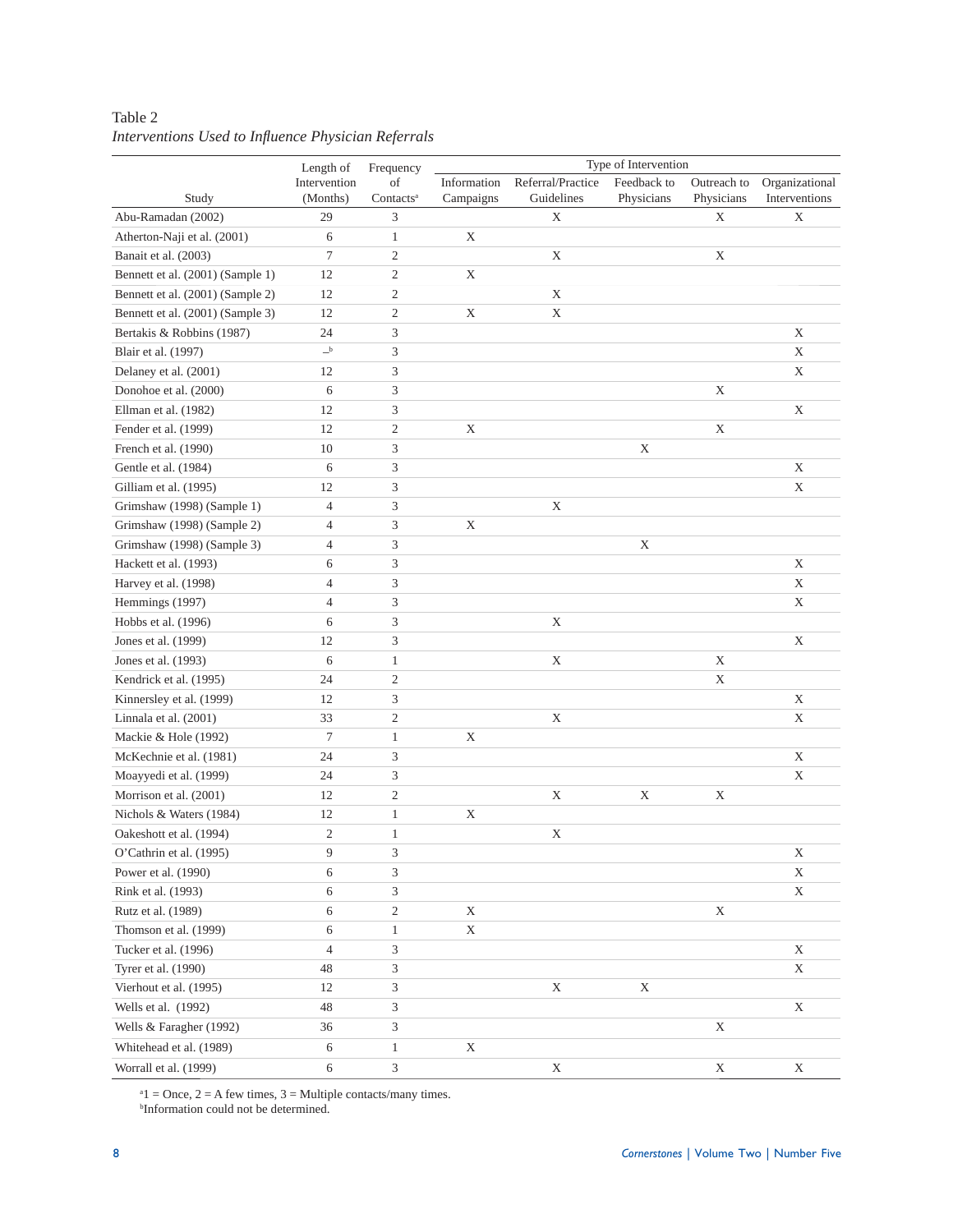# Table 2 *Interventions Used to Infl uence Physician Referrals*

| Referral/Practice<br>Intervention<br>Information<br>Feedback to<br>Outreach to<br>Organizational<br>of<br>Study<br>(Months)<br>Contacts <sup>a</sup><br>Campaigns<br>Guidelines<br>Physicians<br>Physicians<br>Interventions<br>Abu-Ramadan (2002)<br>29<br>3<br>X<br>X<br>Χ<br>$\mathbf X$<br>Atherton-Naji et al. (2001)<br>6<br>$\mathbf{1}$<br>$\tau$<br>$\overline{c}$<br>Banait et al. (2003)<br>$\mathbf X$<br>$\mathbf X$<br>$\mathbf{2}$<br>Bennett et al. (2001) (Sample 1)<br>12<br>$\mathbf X$<br>$\mathbf{2}$<br>Bennett et al. (2001) (Sample 2)<br>12<br>$\mathbf X$<br>$\mathbf{2}$<br>$\mathbf X$<br>$\mathbf X$<br>Bennett et al. (2001) (Sample 3)<br>12<br>3<br>Bertakis & Robbins (1987)<br>$\mathbf X$<br>24<br>$\mathbf{-}^{\rm b}$<br>3<br>$\mathbf X$<br>Blair et al. (1997)<br>3<br>$\mathbf X$<br>Delaney et al. (2001)<br>12<br>6<br>3<br>$\mathbf X$<br>Donohoe et al. (2000)<br>12<br>3<br>$\mathbf X$<br>Ellman et al. (1982)<br>Fender et al. (1999)<br>12<br>$\overline{c}$<br>$\mathbf X$<br>$\mathbf X$<br>French et al. (1990)<br>10<br>3<br>$\mathbf X$<br>3<br>$\mathbf X$<br>Gentle et al. (1984)<br>6<br>3<br>Gilliam et al. (1995)<br>12<br>$\mathbf X$<br>3<br>Grimshaw (1998) (Sample 1)<br>$\mathbf X$<br>$\overline{4}$<br>3<br>Grimshaw (1998) (Sample 2)<br>$\mathbf X$<br>4<br>3<br>Grimshaw (1998) (Sample 3)<br>$\overline{4}$<br>$\mathbf X$<br>3<br>Hackett et al. (1993)<br>6<br>$\mathbf X$<br>3<br>Harvey et al. (1998)<br>$\overline{4}$<br>$\mathbf X$<br>3<br>Hemmings (1997)<br>4<br>$\mathbf X$<br>3<br>Hobbs et al. (1996)<br>6<br>$\mathbf X$<br>3<br>Jones et al. (1999)<br>12<br>$\mathbf X$<br>6<br>$\mathbf{1}$<br>$\mathbf X$<br>$\mathbf X$<br>Jones et al. (1993)<br>Kendrick et al. (1995)<br>24<br>$\overline{c}$<br>X<br>3<br>$\mathbf X$<br>12<br>Kinnersley et al. (1999)<br>Linnala et al. (2001)<br>33<br>$\mathfrak{2}$<br>$\mathbf X$<br>$\mathbf X$<br>$\tau$<br>Mackie & Hole (1992)<br>$\mathbf X$<br>1<br>3<br>McKechnie et al. (1981)<br>24<br>$\mathbf X$<br>3<br>$\mathbf X$<br>Moayyedi et al. (1999)<br>24<br>$\mathbf{2}$<br>$\mathbf X$<br>$\mathbf X$<br>$\mathbf X$<br>Morrison et al. (2001)<br>12<br>$\mathbf X$<br>Nichols & Waters (1984)<br>12<br>$\mathbf{1}$<br>$\mathfrak{2}$<br>Oakeshott et al. (1994)<br>$\mathbf 1$<br>X<br>$\mathfrak{Z}$<br>O'Cathrin et al. (1995)<br>9<br>$\mathbf X$<br>Power et al. (1990)<br>6<br>3<br>X<br>3<br>6<br>$\mathbf X$<br>Rink et al. (1993)<br>$\overline{c}$<br>Rutz et al. (1989)<br>6<br>X<br>X<br>6<br>Thomson et al. (1999)<br>$\mathbf{1}$<br>X<br>Tucker et al. (1996)<br>4<br>3<br>X<br>3<br>Tyrer et al. (1990)<br>48<br>X<br>3<br>Vierhout et al. (1995)<br>12<br>X<br>X<br>Wells et al. (1992)<br>48<br>3<br>X<br>3<br>$\mathbf X$<br>Wells & Faragher (1992)<br>36<br>X<br>Whitehead et al. (1989)<br>6<br>$\mathbf{1}$ | Length of | Frequency | Type of Intervention |  |  |  |  |
|-------------------------------------------------------------------------------------------------------------------------------------------------------------------------------------------------------------------------------------------------------------------------------------------------------------------------------------------------------------------------------------------------------------------------------------------------------------------------------------------------------------------------------------------------------------------------------------------------------------------------------------------------------------------------------------------------------------------------------------------------------------------------------------------------------------------------------------------------------------------------------------------------------------------------------------------------------------------------------------------------------------------------------------------------------------------------------------------------------------------------------------------------------------------------------------------------------------------------------------------------------------------------------------------------------------------------------------------------------------------------------------------------------------------------------------------------------------------------------------------------------------------------------------------------------------------------------------------------------------------------------------------------------------------------------------------------------------------------------------------------------------------------------------------------------------------------------------------------------------------------------------------------------------------------------------------------------------------------------------------------------------------------------------------------------------------------------------------------------------------------------------------------------------------------------------------------------------------------------------------------------------------------------------------------------------------------------------------------------------------------------------------------------------------------------------------------------------------------------------------------------------------------------------------------------------------------------------------------------------------------------------------------------------------------------------------------------------------------------------------------------------------------------------------------------------------------------------------------------------------------------|-----------|-----------|----------------------|--|--|--|--|
|                                                                                                                                                                                                                                                                                                                                                                                                                                                                                                                                                                                                                                                                                                                                                                                                                                                                                                                                                                                                                                                                                                                                                                                                                                                                                                                                                                                                                                                                                                                                                                                                                                                                                                                                                                                                                                                                                                                                                                                                                                                                                                                                                                                                                                                                                                                                                                                                                                                                                                                                                                                                                                                                                                                                                                                                                                                                               |           |           |                      |  |  |  |  |
|                                                                                                                                                                                                                                                                                                                                                                                                                                                                                                                                                                                                                                                                                                                                                                                                                                                                                                                                                                                                                                                                                                                                                                                                                                                                                                                                                                                                                                                                                                                                                                                                                                                                                                                                                                                                                                                                                                                                                                                                                                                                                                                                                                                                                                                                                                                                                                                                                                                                                                                                                                                                                                                                                                                                                                                                                                                                               |           |           |                      |  |  |  |  |
|                                                                                                                                                                                                                                                                                                                                                                                                                                                                                                                                                                                                                                                                                                                                                                                                                                                                                                                                                                                                                                                                                                                                                                                                                                                                                                                                                                                                                                                                                                                                                                                                                                                                                                                                                                                                                                                                                                                                                                                                                                                                                                                                                                                                                                                                                                                                                                                                                                                                                                                                                                                                                                                                                                                                                                                                                                                                               |           |           |                      |  |  |  |  |
|                                                                                                                                                                                                                                                                                                                                                                                                                                                                                                                                                                                                                                                                                                                                                                                                                                                                                                                                                                                                                                                                                                                                                                                                                                                                                                                                                                                                                                                                                                                                                                                                                                                                                                                                                                                                                                                                                                                                                                                                                                                                                                                                                                                                                                                                                                                                                                                                                                                                                                                                                                                                                                                                                                                                                                                                                                                                               |           |           |                      |  |  |  |  |
|                                                                                                                                                                                                                                                                                                                                                                                                                                                                                                                                                                                                                                                                                                                                                                                                                                                                                                                                                                                                                                                                                                                                                                                                                                                                                                                                                                                                                                                                                                                                                                                                                                                                                                                                                                                                                                                                                                                                                                                                                                                                                                                                                                                                                                                                                                                                                                                                                                                                                                                                                                                                                                                                                                                                                                                                                                                                               |           |           |                      |  |  |  |  |
|                                                                                                                                                                                                                                                                                                                                                                                                                                                                                                                                                                                                                                                                                                                                                                                                                                                                                                                                                                                                                                                                                                                                                                                                                                                                                                                                                                                                                                                                                                                                                                                                                                                                                                                                                                                                                                                                                                                                                                                                                                                                                                                                                                                                                                                                                                                                                                                                                                                                                                                                                                                                                                                                                                                                                                                                                                                                               |           |           |                      |  |  |  |  |
|                                                                                                                                                                                                                                                                                                                                                                                                                                                                                                                                                                                                                                                                                                                                                                                                                                                                                                                                                                                                                                                                                                                                                                                                                                                                                                                                                                                                                                                                                                                                                                                                                                                                                                                                                                                                                                                                                                                                                                                                                                                                                                                                                                                                                                                                                                                                                                                                                                                                                                                                                                                                                                                                                                                                                                                                                                                                               |           |           |                      |  |  |  |  |
|                                                                                                                                                                                                                                                                                                                                                                                                                                                                                                                                                                                                                                                                                                                                                                                                                                                                                                                                                                                                                                                                                                                                                                                                                                                                                                                                                                                                                                                                                                                                                                                                                                                                                                                                                                                                                                                                                                                                                                                                                                                                                                                                                                                                                                                                                                                                                                                                                                                                                                                                                                                                                                                                                                                                                                                                                                                                               |           |           |                      |  |  |  |  |
|                                                                                                                                                                                                                                                                                                                                                                                                                                                                                                                                                                                                                                                                                                                                                                                                                                                                                                                                                                                                                                                                                                                                                                                                                                                                                                                                                                                                                                                                                                                                                                                                                                                                                                                                                                                                                                                                                                                                                                                                                                                                                                                                                                                                                                                                                                                                                                                                                                                                                                                                                                                                                                                                                                                                                                                                                                                                               |           |           |                      |  |  |  |  |
|                                                                                                                                                                                                                                                                                                                                                                                                                                                                                                                                                                                                                                                                                                                                                                                                                                                                                                                                                                                                                                                                                                                                                                                                                                                                                                                                                                                                                                                                                                                                                                                                                                                                                                                                                                                                                                                                                                                                                                                                                                                                                                                                                                                                                                                                                                                                                                                                                                                                                                                                                                                                                                                                                                                                                                                                                                                                               |           |           |                      |  |  |  |  |
|                                                                                                                                                                                                                                                                                                                                                                                                                                                                                                                                                                                                                                                                                                                                                                                                                                                                                                                                                                                                                                                                                                                                                                                                                                                                                                                                                                                                                                                                                                                                                                                                                                                                                                                                                                                                                                                                                                                                                                                                                                                                                                                                                                                                                                                                                                                                                                                                                                                                                                                                                                                                                                                                                                                                                                                                                                                                               |           |           |                      |  |  |  |  |
|                                                                                                                                                                                                                                                                                                                                                                                                                                                                                                                                                                                                                                                                                                                                                                                                                                                                                                                                                                                                                                                                                                                                                                                                                                                                                                                                                                                                                                                                                                                                                                                                                                                                                                                                                                                                                                                                                                                                                                                                                                                                                                                                                                                                                                                                                                                                                                                                                                                                                                                                                                                                                                                                                                                                                                                                                                                                               |           |           |                      |  |  |  |  |
|                                                                                                                                                                                                                                                                                                                                                                                                                                                                                                                                                                                                                                                                                                                                                                                                                                                                                                                                                                                                                                                                                                                                                                                                                                                                                                                                                                                                                                                                                                                                                                                                                                                                                                                                                                                                                                                                                                                                                                                                                                                                                                                                                                                                                                                                                                                                                                                                                                                                                                                                                                                                                                                                                                                                                                                                                                                                               |           |           |                      |  |  |  |  |
|                                                                                                                                                                                                                                                                                                                                                                                                                                                                                                                                                                                                                                                                                                                                                                                                                                                                                                                                                                                                                                                                                                                                                                                                                                                                                                                                                                                                                                                                                                                                                                                                                                                                                                                                                                                                                                                                                                                                                                                                                                                                                                                                                                                                                                                                                                                                                                                                                                                                                                                                                                                                                                                                                                                                                                                                                                                                               |           |           |                      |  |  |  |  |
|                                                                                                                                                                                                                                                                                                                                                                                                                                                                                                                                                                                                                                                                                                                                                                                                                                                                                                                                                                                                                                                                                                                                                                                                                                                                                                                                                                                                                                                                                                                                                                                                                                                                                                                                                                                                                                                                                                                                                                                                                                                                                                                                                                                                                                                                                                                                                                                                                                                                                                                                                                                                                                                                                                                                                                                                                                                                               |           |           |                      |  |  |  |  |
|                                                                                                                                                                                                                                                                                                                                                                                                                                                                                                                                                                                                                                                                                                                                                                                                                                                                                                                                                                                                                                                                                                                                                                                                                                                                                                                                                                                                                                                                                                                                                                                                                                                                                                                                                                                                                                                                                                                                                                                                                                                                                                                                                                                                                                                                                                                                                                                                                                                                                                                                                                                                                                                                                                                                                                                                                                                                               |           |           |                      |  |  |  |  |
|                                                                                                                                                                                                                                                                                                                                                                                                                                                                                                                                                                                                                                                                                                                                                                                                                                                                                                                                                                                                                                                                                                                                                                                                                                                                                                                                                                                                                                                                                                                                                                                                                                                                                                                                                                                                                                                                                                                                                                                                                                                                                                                                                                                                                                                                                                                                                                                                                                                                                                                                                                                                                                                                                                                                                                                                                                                                               |           |           |                      |  |  |  |  |
|                                                                                                                                                                                                                                                                                                                                                                                                                                                                                                                                                                                                                                                                                                                                                                                                                                                                                                                                                                                                                                                                                                                                                                                                                                                                                                                                                                                                                                                                                                                                                                                                                                                                                                                                                                                                                                                                                                                                                                                                                                                                                                                                                                                                                                                                                                                                                                                                                                                                                                                                                                                                                                                                                                                                                                                                                                                                               |           |           |                      |  |  |  |  |
|                                                                                                                                                                                                                                                                                                                                                                                                                                                                                                                                                                                                                                                                                                                                                                                                                                                                                                                                                                                                                                                                                                                                                                                                                                                                                                                                                                                                                                                                                                                                                                                                                                                                                                                                                                                                                                                                                                                                                                                                                                                                                                                                                                                                                                                                                                                                                                                                                                                                                                                                                                                                                                                                                                                                                                                                                                                                               |           |           |                      |  |  |  |  |
|                                                                                                                                                                                                                                                                                                                                                                                                                                                                                                                                                                                                                                                                                                                                                                                                                                                                                                                                                                                                                                                                                                                                                                                                                                                                                                                                                                                                                                                                                                                                                                                                                                                                                                                                                                                                                                                                                                                                                                                                                                                                                                                                                                                                                                                                                                                                                                                                                                                                                                                                                                                                                                                                                                                                                                                                                                                                               |           |           |                      |  |  |  |  |
|                                                                                                                                                                                                                                                                                                                                                                                                                                                                                                                                                                                                                                                                                                                                                                                                                                                                                                                                                                                                                                                                                                                                                                                                                                                                                                                                                                                                                                                                                                                                                                                                                                                                                                                                                                                                                                                                                                                                                                                                                                                                                                                                                                                                                                                                                                                                                                                                                                                                                                                                                                                                                                                                                                                                                                                                                                                                               |           |           |                      |  |  |  |  |
|                                                                                                                                                                                                                                                                                                                                                                                                                                                                                                                                                                                                                                                                                                                                                                                                                                                                                                                                                                                                                                                                                                                                                                                                                                                                                                                                                                                                                                                                                                                                                                                                                                                                                                                                                                                                                                                                                                                                                                                                                                                                                                                                                                                                                                                                                                                                                                                                                                                                                                                                                                                                                                                                                                                                                                                                                                                                               |           |           |                      |  |  |  |  |
|                                                                                                                                                                                                                                                                                                                                                                                                                                                                                                                                                                                                                                                                                                                                                                                                                                                                                                                                                                                                                                                                                                                                                                                                                                                                                                                                                                                                                                                                                                                                                                                                                                                                                                                                                                                                                                                                                                                                                                                                                                                                                                                                                                                                                                                                                                                                                                                                                                                                                                                                                                                                                                                                                                                                                                                                                                                                               |           |           |                      |  |  |  |  |
|                                                                                                                                                                                                                                                                                                                                                                                                                                                                                                                                                                                                                                                                                                                                                                                                                                                                                                                                                                                                                                                                                                                                                                                                                                                                                                                                                                                                                                                                                                                                                                                                                                                                                                                                                                                                                                                                                                                                                                                                                                                                                                                                                                                                                                                                                                                                                                                                                                                                                                                                                                                                                                                                                                                                                                                                                                                                               |           |           |                      |  |  |  |  |
|                                                                                                                                                                                                                                                                                                                                                                                                                                                                                                                                                                                                                                                                                                                                                                                                                                                                                                                                                                                                                                                                                                                                                                                                                                                                                                                                                                                                                                                                                                                                                                                                                                                                                                                                                                                                                                                                                                                                                                                                                                                                                                                                                                                                                                                                                                                                                                                                                                                                                                                                                                                                                                                                                                                                                                                                                                                                               |           |           |                      |  |  |  |  |
|                                                                                                                                                                                                                                                                                                                                                                                                                                                                                                                                                                                                                                                                                                                                                                                                                                                                                                                                                                                                                                                                                                                                                                                                                                                                                                                                                                                                                                                                                                                                                                                                                                                                                                                                                                                                                                                                                                                                                                                                                                                                                                                                                                                                                                                                                                                                                                                                                                                                                                                                                                                                                                                                                                                                                                                                                                                                               |           |           |                      |  |  |  |  |
|                                                                                                                                                                                                                                                                                                                                                                                                                                                                                                                                                                                                                                                                                                                                                                                                                                                                                                                                                                                                                                                                                                                                                                                                                                                                                                                                                                                                                                                                                                                                                                                                                                                                                                                                                                                                                                                                                                                                                                                                                                                                                                                                                                                                                                                                                                                                                                                                                                                                                                                                                                                                                                                                                                                                                                                                                                                                               |           |           |                      |  |  |  |  |
|                                                                                                                                                                                                                                                                                                                                                                                                                                                                                                                                                                                                                                                                                                                                                                                                                                                                                                                                                                                                                                                                                                                                                                                                                                                                                                                                                                                                                                                                                                                                                                                                                                                                                                                                                                                                                                                                                                                                                                                                                                                                                                                                                                                                                                                                                                                                                                                                                                                                                                                                                                                                                                                                                                                                                                                                                                                                               |           |           |                      |  |  |  |  |
|                                                                                                                                                                                                                                                                                                                                                                                                                                                                                                                                                                                                                                                                                                                                                                                                                                                                                                                                                                                                                                                                                                                                                                                                                                                                                                                                                                                                                                                                                                                                                                                                                                                                                                                                                                                                                                                                                                                                                                                                                                                                                                                                                                                                                                                                                                                                                                                                                                                                                                                                                                                                                                                                                                                                                                                                                                                                               |           |           |                      |  |  |  |  |
|                                                                                                                                                                                                                                                                                                                                                                                                                                                                                                                                                                                                                                                                                                                                                                                                                                                                                                                                                                                                                                                                                                                                                                                                                                                                                                                                                                                                                                                                                                                                                                                                                                                                                                                                                                                                                                                                                                                                                                                                                                                                                                                                                                                                                                                                                                                                                                                                                                                                                                                                                                                                                                                                                                                                                                                                                                                                               |           |           |                      |  |  |  |  |
|                                                                                                                                                                                                                                                                                                                                                                                                                                                                                                                                                                                                                                                                                                                                                                                                                                                                                                                                                                                                                                                                                                                                                                                                                                                                                                                                                                                                                                                                                                                                                                                                                                                                                                                                                                                                                                                                                                                                                                                                                                                                                                                                                                                                                                                                                                                                                                                                                                                                                                                                                                                                                                                                                                                                                                                                                                                                               |           |           |                      |  |  |  |  |
|                                                                                                                                                                                                                                                                                                                                                                                                                                                                                                                                                                                                                                                                                                                                                                                                                                                                                                                                                                                                                                                                                                                                                                                                                                                                                                                                                                                                                                                                                                                                                                                                                                                                                                                                                                                                                                                                                                                                                                                                                                                                                                                                                                                                                                                                                                                                                                                                                                                                                                                                                                                                                                                                                                                                                                                                                                                                               |           |           |                      |  |  |  |  |
|                                                                                                                                                                                                                                                                                                                                                                                                                                                                                                                                                                                                                                                                                                                                                                                                                                                                                                                                                                                                                                                                                                                                                                                                                                                                                                                                                                                                                                                                                                                                                                                                                                                                                                                                                                                                                                                                                                                                                                                                                                                                                                                                                                                                                                                                                                                                                                                                                                                                                                                                                                                                                                                                                                                                                                                                                                                                               |           |           |                      |  |  |  |  |
|                                                                                                                                                                                                                                                                                                                                                                                                                                                                                                                                                                                                                                                                                                                                                                                                                                                                                                                                                                                                                                                                                                                                                                                                                                                                                                                                                                                                                                                                                                                                                                                                                                                                                                                                                                                                                                                                                                                                                                                                                                                                                                                                                                                                                                                                                                                                                                                                                                                                                                                                                                                                                                                                                                                                                                                                                                                                               |           |           |                      |  |  |  |  |
|                                                                                                                                                                                                                                                                                                                                                                                                                                                                                                                                                                                                                                                                                                                                                                                                                                                                                                                                                                                                                                                                                                                                                                                                                                                                                                                                                                                                                                                                                                                                                                                                                                                                                                                                                                                                                                                                                                                                                                                                                                                                                                                                                                                                                                                                                                                                                                                                                                                                                                                                                                                                                                                                                                                                                                                                                                                                               |           |           |                      |  |  |  |  |
|                                                                                                                                                                                                                                                                                                                                                                                                                                                                                                                                                                                                                                                                                                                                                                                                                                                                                                                                                                                                                                                                                                                                                                                                                                                                                                                                                                                                                                                                                                                                                                                                                                                                                                                                                                                                                                                                                                                                                                                                                                                                                                                                                                                                                                                                                                                                                                                                                                                                                                                                                                                                                                                                                                                                                                                                                                                                               |           |           |                      |  |  |  |  |
|                                                                                                                                                                                                                                                                                                                                                                                                                                                                                                                                                                                                                                                                                                                                                                                                                                                                                                                                                                                                                                                                                                                                                                                                                                                                                                                                                                                                                                                                                                                                                                                                                                                                                                                                                                                                                                                                                                                                                                                                                                                                                                                                                                                                                                                                                                                                                                                                                                                                                                                                                                                                                                                                                                                                                                                                                                                                               |           |           |                      |  |  |  |  |
|                                                                                                                                                                                                                                                                                                                                                                                                                                                                                                                                                                                                                                                                                                                                                                                                                                                                                                                                                                                                                                                                                                                                                                                                                                                                                                                                                                                                                                                                                                                                                                                                                                                                                                                                                                                                                                                                                                                                                                                                                                                                                                                                                                                                                                                                                                                                                                                                                                                                                                                                                                                                                                                                                                                                                                                                                                                                               |           |           |                      |  |  |  |  |
|                                                                                                                                                                                                                                                                                                                                                                                                                                                                                                                                                                                                                                                                                                                                                                                                                                                                                                                                                                                                                                                                                                                                                                                                                                                                                                                                                                                                                                                                                                                                                                                                                                                                                                                                                                                                                                                                                                                                                                                                                                                                                                                                                                                                                                                                                                                                                                                                                                                                                                                                                                                                                                                                                                                                                                                                                                                                               |           |           |                      |  |  |  |  |
|                                                                                                                                                                                                                                                                                                                                                                                                                                                                                                                                                                                                                                                                                                                                                                                                                                                                                                                                                                                                                                                                                                                                                                                                                                                                                                                                                                                                                                                                                                                                                                                                                                                                                                                                                                                                                                                                                                                                                                                                                                                                                                                                                                                                                                                                                                                                                                                                                                                                                                                                                                                                                                                                                                                                                                                                                                                                               |           |           |                      |  |  |  |  |
|                                                                                                                                                                                                                                                                                                                                                                                                                                                                                                                                                                                                                                                                                                                                                                                                                                                                                                                                                                                                                                                                                                                                                                                                                                                                                                                                                                                                                                                                                                                                                                                                                                                                                                                                                                                                                                                                                                                                                                                                                                                                                                                                                                                                                                                                                                                                                                                                                                                                                                                                                                                                                                                                                                                                                                                                                                                                               |           |           |                      |  |  |  |  |
|                                                                                                                                                                                                                                                                                                                                                                                                                                                                                                                                                                                                                                                                                                                                                                                                                                                                                                                                                                                                                                                                                                                                                                                                                                                                                                                                                                                                                                                                                                                                                                                                                                                                                                                                                                                                                                                                                                                                                                                                                                                                                                                                                                                                                                                                                                                                                                                                                                                                                                                                                                                                                                                                                                                                                                                                                                                                               |           |           |                      |  |  |  |  |
|                                                                                                                                                                                                                                                                                                                                                                                                                                                                                                                                                                                                                                                                                                                                                                                                                                                                                                                                                                                                                                                                                                                                                                                                                                                                                                                                                                                                                                                                                                                                                                                                                                                                                                                                                                                                                                                                                                                                                                                                                                                                                                                                                                                                                                                                                                                                                                                                                                                                                                                                                                                                                                                                                                                                                                                                                                                                               |           |           |                      |  |  |  |  |
|                                                                                                                                                                                                                                                                                                                                                                                                                                                                                                                                                                                                                                                                                                                                                                                                                                                                                                                                                                                                                                                                                                                                                                                                                                                                                                                                                                                                                                                                                                                                                                                                                                                                                                                                                                                                                                                                                                                                                                                                                                                                                                                                                                                                                                                                                                                                                                                                                                                                                                                                                                                                                                                                                                                                                                                                                                                                               |           |           |                      |  |  |  |  |
|                                                                                                                                                                                                                                                                                                                                                                                                                                                                                                                                                                                                                                                                                                                                                                                                                                                                                                                                                                                                                                                                                                                                                                                                                                                                                                                                                                                                                                                                                                                                                                                                                                                                                                                                                                                                                                                                                                                                                                                                                                                                                                                                                                                                                                                                                                                                                                                                                                                                                                                                                                                                                                                                                                                                                                                                                                                                               |           |           |                      |  |  |  |  |
|                                                                                                                                                                                                                                                                                                                                                                                                                                                                                                                                                                                                                                                                                                                                                                                                                                                                                                                                                                                                                                                                                                                                                                                                                                                                                                                                                                                                                                                                                                                                                                                                                                                                                                                                                                                                                                                                                                                                                                                                                                                                                                                                                                                                                                                                                                                                                                                                                                                                                                                                                                                                                                                                                                                                                                                                                                                                               |           |           |                      |  |  |  |  |
| Worrall et al. (1999)<br>3<br>$\mathbf X$<br>$\mathbf X$<br>6<br>X                                                                                                                                                                                                                                                                                                                                                                                                                                                                                                                                                                                                                                                                                                                                                                                                                                                                                                                                                                                                                                                                                                                                                                                                                                                                                                                                                                                                                                                                                                                                                                                                                                                                                                                                                                                                                                                                                                                                                                                                                                                                                                                                                                                                                                                                                                                                                                                                                                                                                                                                                                                                                                                                                                                                                                                                            |           |           |                      |  |  |  |  |

 $a_1$  = Once, 2 = A few times, 3 = Multiple contacts/many times.<br><sup>b</sup>Information could not be determined.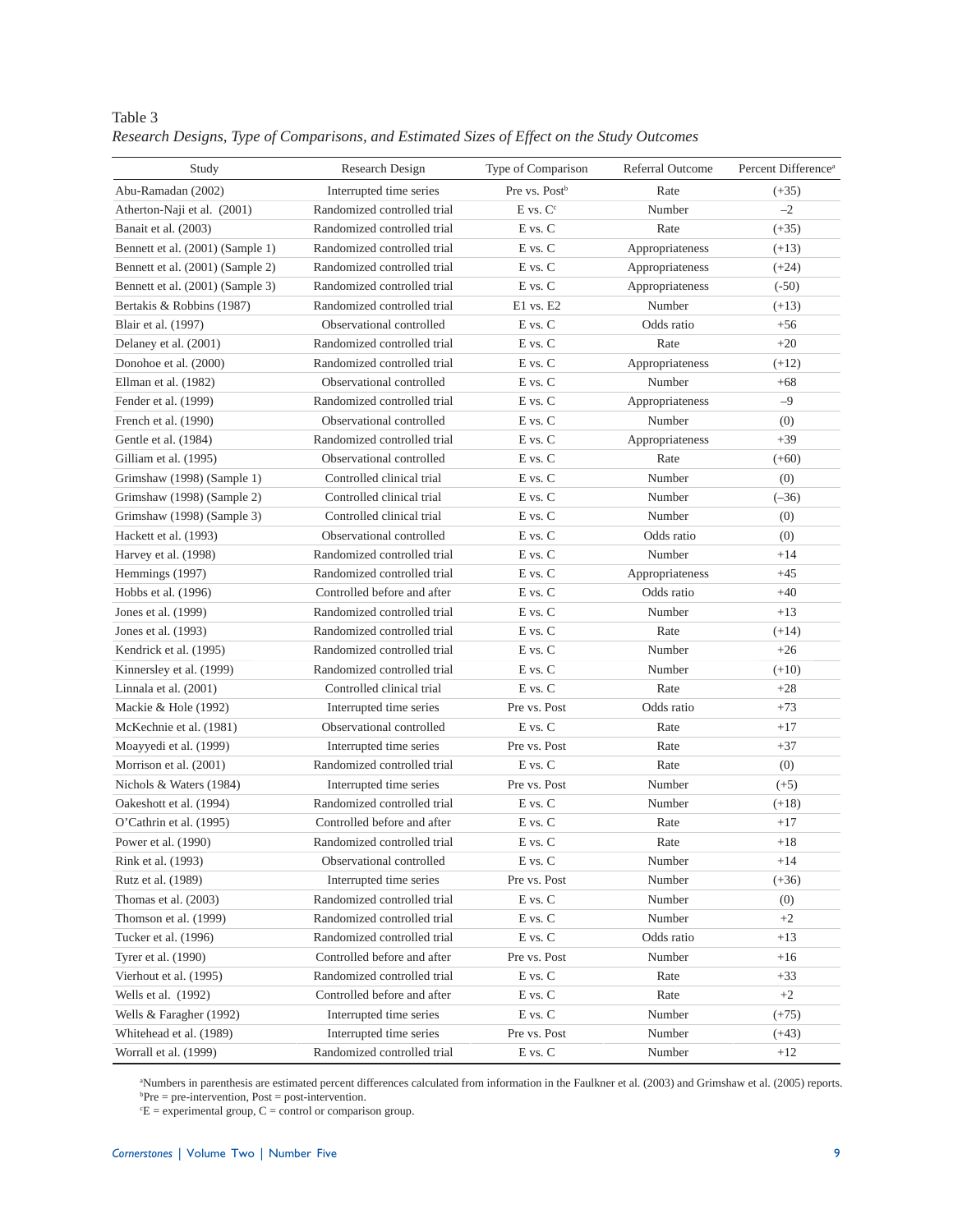| Study                            | Research Design             | Type of Comparison          | <b>Referral Outcome</b> | Percent Difference <sup>a</sup> |
|----------------------------------|-----------------------------|-----------------------------|-------------------------|---------------------------------|
| Abu-Ramadan (2002)               | Interrupted time series     | Pre vs. Post <sup>b</sup>   | Rate                    | $(+35)$                         |
| Atherton-Naji et al. (2001)      | Randomized controlled trial | $E$ vs. $Cc$                | Number                  | $-2$                            |
| Banait et al. (2003)             | Randomized controlled trial | E vs. C                     | Rate                    | $(+35)$                         |
| Bennett et al. (2001) (Sample 1) | Randomized controlled trial | E vs. C                     | Appropriateness         | $(+13)$                         |
| Bennett et al. (2001) (Sample 2) | Randomized controlled trial | E vs. C                     | Appropriateness         | $(+24)$                         |
| Bennett et al. (2001) (Sample 3) | Randomized controlled trial | E vs. C                     | Appropriateness         | $(-50)$                         |
| Bertakis & Robbins (1987)        | Randomized controlled trial | $E1$ vs. $E2$               | Number                  | $(+13)$                         |
| Blair et al. (1997)              | Observational controlled    | E vs. C                     | Odds ratio              | $+56$                           |
| Delaney et al. (2001)            | Randomized controlled trial | E vs. C                     | Rate                    | $+20$                           |
| Donohoe et al. (2000)            | Randomized controlled trial | E vs. C                     | Appropriateness         | $(+12)$                         |
| Ellman et al. (1982)             | Observational controlled    | E vs. C                     | Number                  | $+68$                           |
| Fender et al. (1999)             | Randomized controlled trial | E vs. C                     | Appropriateness         | $-9$                            |
| French et al. (1990)             | Observational controlled    | E vs. C                     | Number                  | (0)                             |
| Gentle et al. (1984)             | Randomized controlled trial | E vs. C                     | Appropriateness         | $+39$                           |
| Gilliam et al. (1995)            | Observational controlled    | E vs. C                     | Rate                    | $(+60)$                         |
| Grimshaw (1998) (Sample 1)       | Controlled clinical trial   | E vs. C                     | Number                  | (0)                             |
| Grimshaw (1998) (Sample 2)       | Controlled clinical trial   | E vs. C                     | Number                  | $(-36)$                         |
| Grimshaw (1998) (Sample 3)       | Controlled clinical trial   | E vs. C                     | Number                  | (0)                             |
| Hackett et al. (1993)            | Observational controlled    | E vs. C                     | Odds ratio              | (0)                             |
| Harvey et al. (1998)             | Randomized controlled trial | E vs. C                     | Number                  | $+14$                           |
| Hemmings (1997)                  | Randomized controlled trial | E vs. C                     | Appropriateness         | $+45$                           |
| Hobbs et al. (1996)              | Controlled before and after | E vs. C                     | Odds ratio              | $+40$                           |
| Jones et al. (1999)              | Randomized controlled trial | E vs. C                     | Number                  | $+13$                           |
| Jones et al. (1993)              | Randomized controlled trial | E vs. C                     | Rate                    | $(+14)$                         |
| Kendrick et al. (1995)           | Randomized controlled trial | E vs. C                     | Number                  | $+26$                           |
| Kinnersley et al. (1999)         | Randomized controlled trial | E vs. C                     | Number                  | $(+10)$                         |
| Linnala et al. $(2001)$          | Controlled clinical trial   | E vs. C                     | Rate                    | $+28$                           |
| Mackie & Hole (1992)             | Interrupted time series     | Pre vs. Post                | Odds ratio              | $+73$                           |
| McKechnie et al. (1981)          | Observational controlled    | E vs. C                     | Rate                    | $+17$                           |
| Moayyedi et al. (1999)           | Interrupted time series     | Pre vs. Post                | Rate                    | $+37$                           |
| Morrison et al. (2001)           | Randomized controlled trial | E vs. C                     | Rate                    | (0)                             |
| Nichols & Waters (1984)          | Interrupted time series     | Pre vs. Post                | Number                  | $(+5)$                          |
| Oakeshott et al. (1994)          | Randomized controlled trial | E vs. C                     | Number                  | $(+18)$                         |
| O'Cathrin et al. (1995)          | Controlled before and after | E vs. C                     | Rate                    | $+17$                           |
| Power et al. (1990)              | Randomized controlled trial | E vs. C                     | Rate                    | $+18$                           |
| Rink et al. (1993)               | Observational controlled    | E vs. C                     | Number                  | $+14$                           |
| Rutz et al. (1989)               | Interrupted time series     | Pre vs. Post                | Number                  | $(+36)$                         |
| Thomas et al. (2003)             | Randomized controlled trial | E vs. C                     | Number                  | (0)                             |
| Thomson et al. (1999)            | Randomized controlled trial | $\mathbf E$ vs. $\mathbf C$ | Number                  | $+2$                            |
| Tucker et al. (1996)             | Randomized controlled trial | $\mathbf E$ vs. $\mathbf C$ | Odds ratio              | $+13$                           |
| Tyrer et al. (1990)              | Controlled before and after | Pre vs. Post                | Number                  | $+16$                           |
| Vierhout et al. (1995)           | Randomized controlled trial | $\mathbf E$ vs. $\mathbf C$ | Rate                    | $+33$                           |
| Wells et al. (1992)              | Controlled before and after | E vs. C                     | Rate                    | $+2$                            |
| Wells & Faragher (1992)          | Interrupted time series     | E vs. C                     | Number                  | $(+75)$                         |
| Whitehead et al. (1989)          | Interrupted time series     | Pre vs. Post                | Number                  | $(+43)$                         |
| Worrall et al. (1999)            | Randomized controlled trial | $\mathbf E$ vs. $\mathbf C$ | Number                  | $+12$                           |

Table 3 *Research Designs, Type of Comparisons, and Estimated Sizes of Effect on the Study Outcomes*

"Numbers in parenthesis are estimated percent differences calculated from information in the Faulkner et al. (2003) and Grimshaw et al. (2005) reports.<br><sup>b</sup>Pre = pre-intervention, Post = post-intervention

 ${}^{b}Pre = pre-intervention, Post = post-intervention.$ <br> ${}^{c}E = experimental group, C = control or comparison group.$